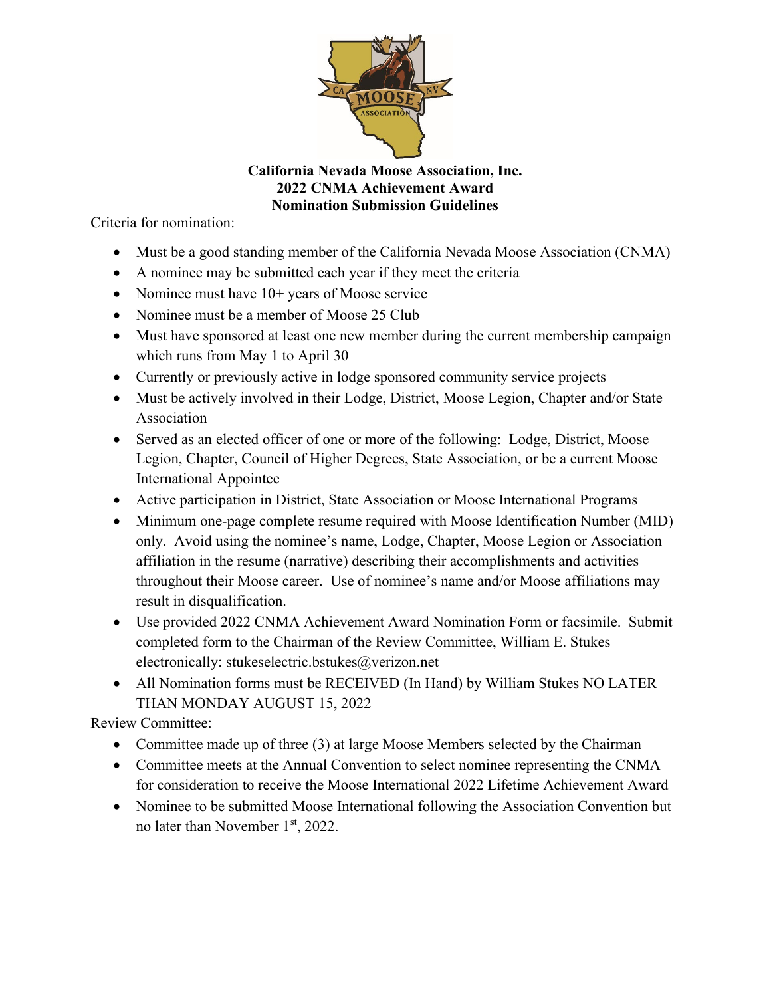

**California Nevada Moose Association, Inc. 2022 CNMA Achievement Award Nomination Submission Guidelines**

Criteria for nomination:

- Must be a good standing member of the California Nevada Moose Association (CNMA)
- A nominee may be submitted each year if they meet the criteria
- Nominee must have  $10+$  years of Moose service
- Nominee must be a member of Moose 25 Club
- Must have sponsored at least one new member during the current membership campaign which runs from May 1 to April 30
- Currently or previously active in lodge sponsored community service projects
- Must be actively involved in their Lodge, District, Moose Legion, Chapter and/or State Association
- Served as an elected officer of one or more of the following: Lodge, District, Moose Legion, Chapter, Council of Higher Degrees, State Association, or be a current Moose International Appointee
- Active participation in District, State Association or Moose International Programs
- Minimum one-page complete resume required with Moose Identification Number (MID) only. Avoid using the nominee's name, Lodge, Chapter, Moose Legion or Association affiliation in the resume (narrative) describing their accomplishments and activities throughout their Moose career. Use of nominee's name and/or Moose affiliations may result in disqualification.
- Use provided 2022 CNMA Achievement Award Nomination Form or facsimile. Submit completed form to the Chairman of the Review Committee, William E. Stukes electronically: stukeselectric.bstukes@verizon.net
- All Nomination forms must be RECEIVED (In Hand) by William Stukes NO LATER THAN MONDAY AUGUST 15, 2022

Review Committee:

- Committee made up of three (3) at large Moose Members selected by the Chairman
- Committee meets at the Annual Convention to select nominee representing the CNMA for consideration to receive the Moose International 2022 Lifetime Achievement Award
- Nominee to be submitted Moose International following the Association Convention but no later than November 1<sup>st</sup>, 2022.